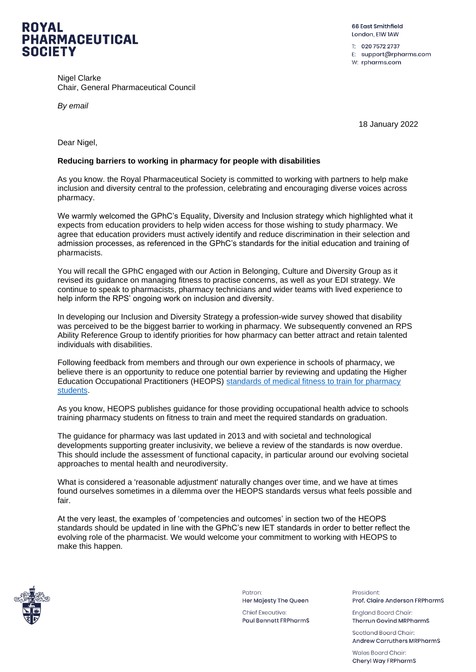

Nigel Clarke Chair, General Pharmaceutical Council

*By email*

66 Fast Smithfield London, EIW IAW

T: 020 7572 2737 E: support@rpharms.com W: rpharms.com

18 January 2022

Dear Nigel,

## **Reducing barriers to working in pharmacy for people with disabilities**

As you know. the Royal Pharmaceutical Society is committed to working with partners to help make inclusion and diversity central to the profession, celebrating and encouraging diverse voices across pharmacy.

We warmly welcomed the GPhC's Equality, Diversity and Inclusion strategy which highlighted what it expects from education providers to help widen access for those wishing to study pharmacy. We agree that education providers must actively identify and reduce discrimination in their selection and admission processes, as referenced in the GPhC's standards for the initial education and training of pharmacists.

You will recall the GPhC engaged with our Action in Belonging, Culture and Diversity Group as it revised its guidance on managing fitness to practise concerns, as well as your EDI strategy. We continue to speak to pharmacists, pharmacy technicians and wider teams with lived experience to help inform the RPS' ongoing work on inclusion and diversity.

In developing our Inclusion and Diversity Strategy a profession-wide survey showed that disability was perceived to be the biggest barrier to working in pharmacy. We subsequently convened an RPS Ability Reference Group to identify priorities for how pharmacy can better attract and retain talented individuals with disabilities.

Following feedback from members and through our own experience in schools of pharmacy, we believe there is an opportunity to reduce one potential barrier by reviewing and updating the Higher Education Occupational Practitioners (HEOPS) [standards of medical fitness to train for pharmacy](https://heops.org.uk/wp-content/uploads/bsk-pdf-manager/2019/09/1521730902HEOPS_Pharmacy_Students_fitness_standards_2013_v5.pdf)  [students.](https://heops.org.uk/wp-content/uploads/bsk-pdf-manager/2019/09/1521730902HEOPS_Pharmacy_Students_fitness_standards_2013_v5.pdf)

As you know, HEOPS publishes guidance for those providing occupational health advice to schools training pharmacy students on fitness to train and meet the required standards on graduation.

The guidance for pharmacy was last updated in 2013 and with societal and technological developments supporting greater inclusivity, we believe a review of the standards is now overdue. This should include the assessment of functional capacity, in particular around our evolving societal approaches to mental health and neurodiversity.

What is considered a 'reasonable adjustment' naturally changes over time, and we have at times found ourselves sometimes in a dilemma over the HEOPS standards versus what feels possible and fair.

At the very least, the examples of 'competencies and outcomes' in section two of the HEOPS standards should be updated in line with the GPhC's new IET standards in order to better reflect the evolving role of the pharmacist. We would welcome your commitment to working with HEOPS to make this happen.



Patron<sup>-</sup> Her Majesty The Queen

**Chief Executive: Paul Bennett FRPharmS**  President: Prof. Claire Anderson FRPharmS

**England Board Chair: Thorrun Govind MRPharmS** 

Scotland Board Chair: **Andrew Carruthers MRPharmS** 

Wales Board Chair Cheryl Way FRPharmS